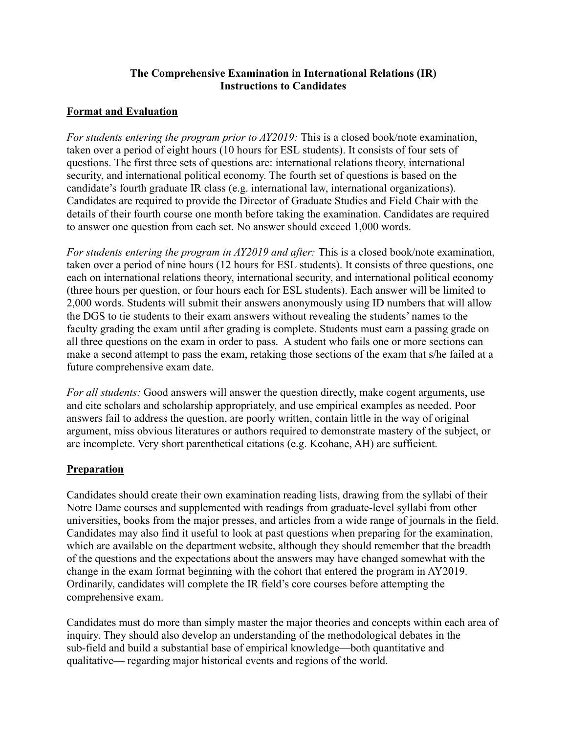## **The Comprehensive Examination in International Relations (IR) Instructions to Candidates**

## **Format and Evaluation**

*For students entering the program prior to AY2019:* This is a closed book/note examination, taken over a period of eight hours (10 hours for ESL students). It consists of four sets of questions. The first three sets of questions are: international relations theory, international security, and international political economy. The fourth set of questions is based on the candidate's fourth graduate IR class (e.g. international law, international organizations). Candidates are required to provide the Director of Graduate Studies and Field Chair with the details of their fourth course one month before taking the examination. Candidates are required to answer one question from each set. No answer should exceed 1,000 words.

*For students entering the program in AY2019 and after:* This is a closed book/note examination, taken over a period of nine hours (12 hours for ESL students). It consists of three questions, one each on international relations theory, international security, and international political economy (three hours per question, or four hours each for ESL students). Each answer will be limited to 2,000 words. Students will submit their answers anonymously using ID numbers that will allow the DGS to tie students to their exam answers without revealing the students' names to the faculty grading the exam until after grading is complete. Students must earn a passing grade on all three questions on the exam in order to pass. A student who fails one or more sections can make a second attempt to pass the exam, retaking those sections of the exam that s/he failed at a future comprehensive exam date.

*For all students:* Good answers will answer the question directly, make cogent arguments, use and cite scholars and scholarship appropriately, and use empirical examples as needed. Poor answers fail to address the question, are poorly written, contain little in the way of original argument, miss obvious literatures or authors required to demonstrate mastery of the subject, or are incomplete. Very short parenthetical citations (e.g. Keohane, AH) are sufficient.

## **Preparation**

Candidates should create their own examination reading lists, drawing from the syllabi of their Notre Dame courses and supplemented with readings from graduate-level syllabi from other universities, books from the major presses, and articles from a wide range of journals in the field. Candidates may also find it useful to look at past questions when preparing for the examination, which are available on the department website, although they should remember that the breadth of the questions and the expectations about the answers may have changed somewhat with the change in the exam format beginning with the cohort that entered the program in AY2019. Ordinarily, candidates will complete the IR field's core courses before attempting the comprehensive exam.

Candidates must do more than simply master the major theories and concepts within each area of inquiry. They should also develop an understanding of the methodological debates in the sub-field and build a substantial base of empirical knowledge—both quantitative and qualitative— regarding major historical events and regions of the world.